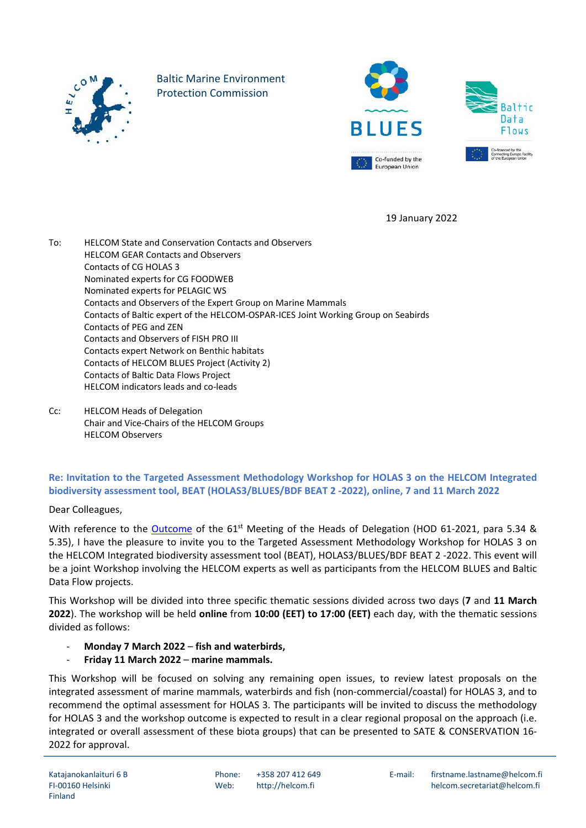

Baltic Marine Environment Protection Commission





19 January 2022

To: HELCOM State and Conservation Contacts and Observers HELCOM GEAR Contacts and Observers Contacts of CG HOLAS 3 Nominated experts for CG FOODWEB Nominated experts for PELAGIC WS Contacts and Observers of the Expert Group on Marine Mammals Contacts of Baltic expert of the HELCOM-OSPAR-ICES Joint Working Group on Seabirds Contacts of PEG and ZEN Contacts and Observers of FISH PRO III Contacts expert Network on Benthic habitats Contacts of HELCOM BLUES Project (Activity 2) Contacts of Baltic Data Flows Project HELCOM indicators leads and co-leads

Cc: HELCOM Heads of Delegation Chair and Vice-Chairs of the HELCOM Groups HELCOM Observers

## **Re: Invitation to the Targeted Assessment Methodology Workshop for HOLAS 3 on the HELCOM Integrated biodiversity assessment tool, BEAT (HOLAS3/BLUES/BDF BEAT 2 -2022), online, 7 and 11 March 2022**

Dear Colleagues,

With reference to the [Outcome](https://portal.helcom.fi/meetings/HOD%2061-2021-896/MeetingDocuments/Outcome%20of%20HOD%2061-2021.pdf) of the 61<sup>st</sup> Meeting of the Heads of Delegation (HOD 61-2021, para 5.34 & 5.35), I have the pleasure to invite you to the Targeted Assessment Methodology Workshop for HOLAS 3 on the HELCOM Integrated biodiversity assessment tool (BEAT), HOLAS3/BLUES/BDF BEAT 2 -2022. This event will be a joint Workshop involving the HELCOM experts as well as participants from the HELCOM BLUES and Baltic Data Flow projects.

This Workshop will be divided into three specific thematic sessions divided across two days (**7** and **11 March 2022**). The workshop will be held **online** from **10:00 (EET) to 17:00 (EET)** each day, with the thematic sessions divided as follows:

- **Monday 7 March 2022 fish and waterbirds,**
- **Friday 11 March 2022 marine mammals.**

This Workshop will be focused on solving any remaining open issues, to review latest proposals on the integrated assessment of marine mammals, waterbirds and fish (non-commercial/coastal) for HOLAS 3, and to recommend the optimal assessment for HOLAS 3. The participants will be invited to discuss the methodology for HOLAS 3 and the workshop outcome is expected to result in a clear regional proposal on the approach (i.e. integrated or overall assessment of these biota groups) that can be presented to SATE & CONSERVATION 16- 2022 for approval.